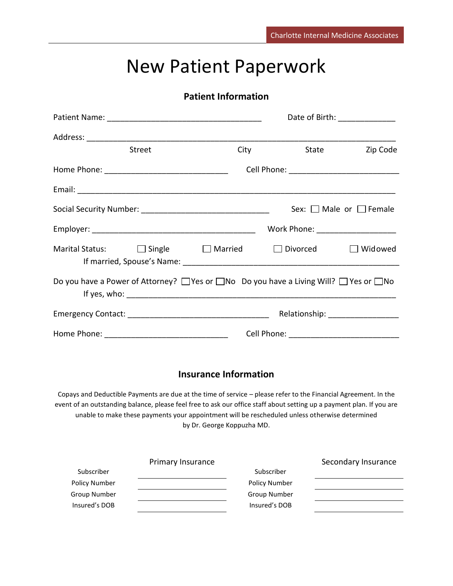# New Patient Paperwork

## **Patient Information**

|                                                                                                             | Date of Birth: _______________ |      |                                    |                                   |
|-------------------------------------------------------------------------------------------------------------|--------------------------------|------|------------------------------------|-----------------------------------|
|                                                                                                             |                                |      |                                    |                                   |
|                                                                                                             | <b>Street</b>                  | City | State                              | Zip Code                          |
|                                                                                                             |                                |      |                                    |                                   |
|                                                                                                             |                                |      |                                    |                                   |
|                                                                                                             |                                |      |                                    | Sex: $\Box$ Male or $\Box$ Female |
|                                                                                                             |                                |      | Work Phone: ______________________ |                                   |
| Marital Status: $\Box$ Single $\Box$ Married $\Box$ Divorced                                                |                                |      |                                    | $\Box$ Widowed                    |
| Do you have a Power of Attorney? $\Box$ Yes or $\Box$ No Do you have a Living Will? $\Box$ Yes or $\Box$ No |                                |      |                                    |                                   |
|                                                                                                             |                                |      |                                    | Relationship: ___________________ |
|                                                                                                             |                                |      |                                    |                                   |

## **Insurance Information**

Copays and Deductible Payments are due at the time of service – please refer to the Financial Agreement. In the event of an outstanding balance, please feel free to ask our office staff about setting up a payment plan. If you are unable to make these payments your appointment will be rescheduled unless otherwise determined by Dr. George Koppuzha MD.

|                      | Primary Insurance |               | Secondary Insurance |
|----------------------|-------------------|---------------|---------------------|
| Subscriber           |                   | Subscriber    |                     |
| <b>Policy Number</b> |                   | Policy Number |                     |
| Group Number         |                   | Group Number  |                     |
| Insured's DOB        |                   | Insured's DOB |                     |
|                      |                   |               |                     |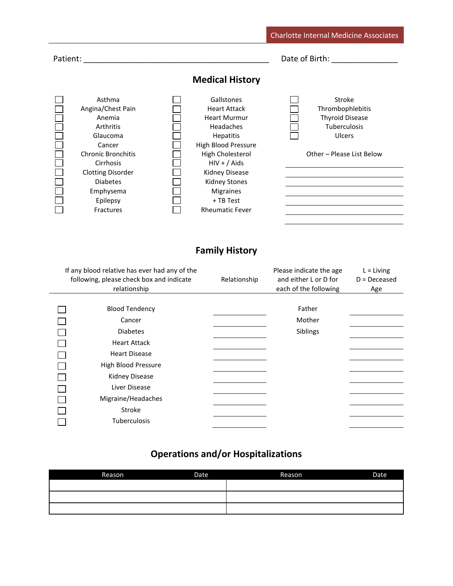|          |                                                                                                                                                                                                         |                                                                                                                                                                                                                                                      | <b>Charlotte Internal Medicine Associates</b>                                                               |
|----------|---------------------------------------------------------------------------------------------------------------------------------------------------------------------------------------------------------|------------------------------------------------------------------------------------------------------------------------------------------------------------------------------------------------------------------------------------------------------|-------------------------------------------------------------------------------------------------------------|
| Patient: |                                                                                                                                                                                                         |                                                                                                                                                                                                                                                      | Date of Birth:                                                                                              |
|          |                                                                                                                                                                                                         | <b>Medical History</b>                                                                                                                                                                                                                               |                                                                                                             |
|          | Asthma<br>Angina/Chest Pain<br>Anemia<br>Arthritis<br>Glaucoma<br>Cancer<br><b>Chronic Bronchitis</b><br>Cirrhosis<br><b>Clotting Disorder</b><br><b>Diabetes</b><br>Emphysema<br>Epilepsy<br>Fractures | Gallstones<br><b>Heart Attack</b><br><b>Heart Murmur</b><br>Headaches<br><b>Hepatitis</b><br><b>High Blood Pressure</b><br>High Cholesterol<br>$HIV + / Aids$<br>Kidney Disease<br>Kidney Stones<br>Migraines<br>+ TB Test<br><b>Rheumatic Fever</b> | Stroke<br>Thrombophlebitis<br><b>Thyroid Disease</b><br>Tuberculosis<br>Ulcers<br>Other - Please List Below |

# **Family History**

| If any blood relative has ever had any of the<br>following, please check box and indicate<br>relationship | Relationship | Please indicate the age<br>and either L or D for<br>each of the following | $L = Living$<br>$D = Deceased$<br>Age |
|-----------------------------------------------------------------------------------------------------------|--------------|---------------------------------------------------------------------------|---------------------------------------|
| <b>Blood Tendency</b>                                                                                     |              | Father                                                                    |                                       |
| Cancer                                                                                                    |              | Mother                                                                    |                                       |
| <b>Diabetes</b>                                                                                           |              | Siblings                                                                  |                                       |
| <b>Heart Attack</b>                                                                                       |              |                                                                           |                                       |
| <b>Heart Disease</b>                                                                                      |              |                                                                           |                                       |
| High Blood Pressure                                                                                       |              |                                                                           |                                       |
| Kidney Disease                                                                                            |              |                                                                           |                                       |
| Liver Disease                                                                                             |              |                                                                           |                                       |
| Migraine/Headaches                                                                                        |              |                                                                           |                                       |
| Stroke                                                                                                    |              |                                                                           |                                       |
| <b>Tuberculosis</b>                                                                                       |              |                                                                           |                                       |

# **Operations and/or Hospitalizations**

| Reason | Date | Reason | Date |
|--------|------|--------|------|
|        |      |        |      |
|        |      |        |      |
|        |      |        |      |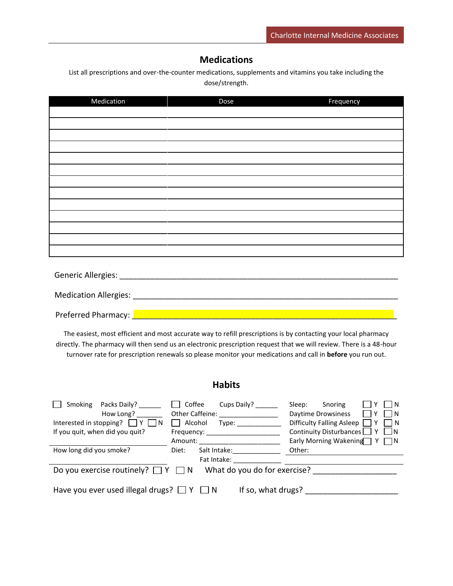### **Medications**

List all prescriptions and over-the-counter medications, supplements and vitamins you take including the dose/strength.

| Medication | Dose | Frequency |
|------------|------|-----------|
|            |      |           |
|            |      |           |
|            |      |           |
|            |      |           |
|            |      |           |
|            |      |           |
|            |      |           |
|            |      |           |
|            |      |           |
|            |      |           |
|            |      |           |
|            |      |           |
|            |      |           |
|            |      |           |
|            |      |           |
|            |      |           |
|            |      |           |

Preferred Pharmacy: **Letter Lines and Preferred Pharmacy:**  $\frac{1}{2}$ 

The easiest, most efficient and most accurate way to refill prescriptions is by contacting your local pharmacy directly. The pharmacy will then send us an electronic prescription request that we will review. There is a 48-hour turnover rate for prescription renewals so please monitor your medications and call in **before** you run out.

#### **Habits**

| Packs Daily?<br>Smoking                                                 | Coffee<br>Cups Daily?        | Sleep:<br>Snoring                                       |
|-------------------------------------------------------------------------|------------------------------|---------------------------------------------------------|
| How Long?                                                               | Other Caffeine:              | Daytime Drowsiness<br>$\overline{1}$ $\overline{1}$ N   |
| Interested in stopping? $\Box Y \Box N$                                 | Alcohol<br>Type:             | Difficulty Falling Asleep $\Box Y$<br>$\vert$ $\vert$ N |
| If you quit, when did you quit?                                         | Frequency:                   | Continuity Disturbances $\Box Y \Box N$                 |
|                                                                         | Amount:                      | Early Morning Wakening $\gamma$ $\gamma$                |
| How long did you smoke?                                                 | Salt Intake:<br>Diet:        | Other:                                                  |
|                                                                         | Fat Intake:                  |                                                         |
| Do you exercise routinely? $\Box Y \Box N$                              | What do you do for exercise? |                                                         |
| If so, what drugs?<br>Have you ever used illegal drugs? $\Box Y \Box N$ |                              |                                                         |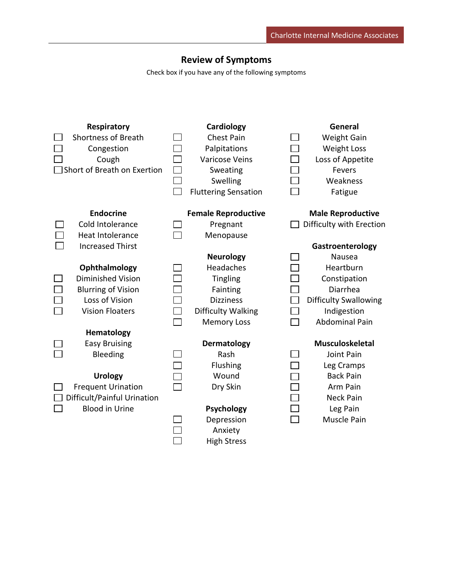## **Review of Symptoms**

Check box if you have any of the following symptoms

| <b>Respiratory</b>          | Cardiology                  | General                      |
|-----------------------------|-----------------------------|------------------------------|
| <b>Shortness of Breath</b>  | Chest Pain                  | <b>Weight Gain</b>           |
| Congestion                  | Palpitations                | <b>Weight Loss</b>           |
| Cough                       | <b>Varicose Veins</b>       | Loss of Appetite             |
| Short of Breath on Exertion | Sweating                    | Fevers                       |
|                             | Swelling                    | Weakness                     |
|                             | <b>Fluttering Sensation</b> | Fatigue                      |
| <b>Endocrine</b>            | <b>Female Reproductive</b>  | <b>Male Reproductive</b>     |
| Cold Intolerance            | Pregnant                    | Difficulty with Erection     |
| <b>Heat Intolerance</b>     | Menopause                   |                              |
| <b>Increased Thirst</b>     |                             | Gastroenterology             |
|                             | <b>Neurology</b>            | Nausea                       |
| Ophthalmology               | Headaches                   | Heartburn                    |
| Diminished Vision           | Tingling                    | Constipation                 |
| <b>Blurring of Vision</b>   | Fainting                    | Diarrhea                     |
| Loss of Vision              | <b>Dizziness</b>            | <b>Difficulty Swallowing</b> |
| <b>Vision Floaters</b>      | Difficulty Walking          | Indigestion                  |
|                             | <b>Memory Loss</b>          | <b>Abdominal Pain</b>        |
| Hematology                  |                             |                              |
| <b>Easy Bruising</b>        | <b>Dermatology</b>          | <b>Musculoskeletal</b>       |
| Bleeding                    | Rash                        | Joint Pain                   |
|                             | Flushing                    | Leg Cramps                   |
| <b>Urology</b>              | Wound                       | <b>Back Pain</b>             |
| <b>Frequent Urination</b>   | Dry Skin                    | Arm Pain                     |
| Difficult/Painful Urination |                             | <b>Neck Pain</b>             |
| <b>Blood in Urine</b>       | Psychology                  | Leg Pain                     |
|                             | Depression                  | Muscle Pain                  |
|                             | Anxiety                     |                              |
|                             | <b>High Stress</b>          |                              |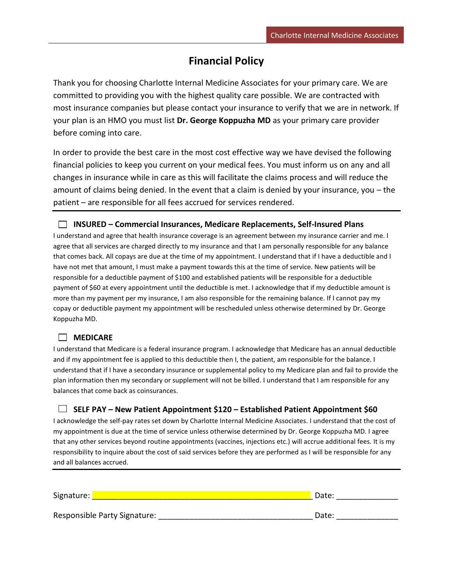## **Financial Policy**

Thank you for choosing Charlotte Internal Medicine Associates for your primary care. We are committed to providing you with the highest quality care possible. We are contracted with most insurance companies but please contact your insurance to verify that we are in network. If your plan is an HMO you must list **Dr. George Koppuzha MD** as your primary care provider before coming into care.

In order to provide the best care in the most cost effective way we have devised the following financial policies to keep you current on your medical fees. You must inform us on any and all changes in insurance while in care as this will facilitate the claims process and will reduce the amount of claims being denied. In the event that a claim is denied by your insurance, you – the patient – are responsible for all fees accrued for services rendered.

#### **INSURED – Commercial Insurances, Medicare Replacements, Self-Insured Plans**

I understand and agree that health insurance coverage is an agreement between my insurance carrier and me. I agree that all services are charged directly to my insurance and that I am personally responsible for any balance that comes back. All copays are due at the time of my appointment. I understand that if I have a deductible and I have not met that amount, I must make a payment towards this at the time of service. New patients will be responsible for a deductible payment of \$100 and established patients will be responsible for a deductible payment of \$60 at every appointment until the deductible is met. I acknowledge that if my deductible amount is more than my payment per my insurance, I am also responsible for the remaining balance. If I cannot pay my copay or deductible payment my appointment will be rescheduled unless otherwise determined by Dr. George Koppuzha MD.

#### **MEDICARE**

I understand that Medicare is a federal insurance program. I acknowledge that Medicare has an annual deductible and if my appointment fee is applied to this deductible then I, the patient, am responsible for the balance. I understand that if I have a secondary insurance or supplemental policy to my Medicare plan and fail to provide the plan information then my secondary or supplement will not be billed. I understand that I am responsible for any balances that come back as coinsurances.

#### **SELF PAY – New Patient Appointment \$120 – Established Patient Appointment \$60**

I acknowledge the self-pay rates set down by Charlotte Internal Medicine Associates. I understand that the cost of my appointment is due at the time of service unless otherwise determined by Dr. George Koppuzha MD. I agree that any other services beyond routine appointments (vaccines, injections etc.) will accrue additional fees. It is my responsibility to inquire about the cost of said services before they are performed as I will be responsible for any and all balances accrued.

| Signature:                   | Date: |
|------------------------------|-------|
| Responsible Party Signature: | Date: |